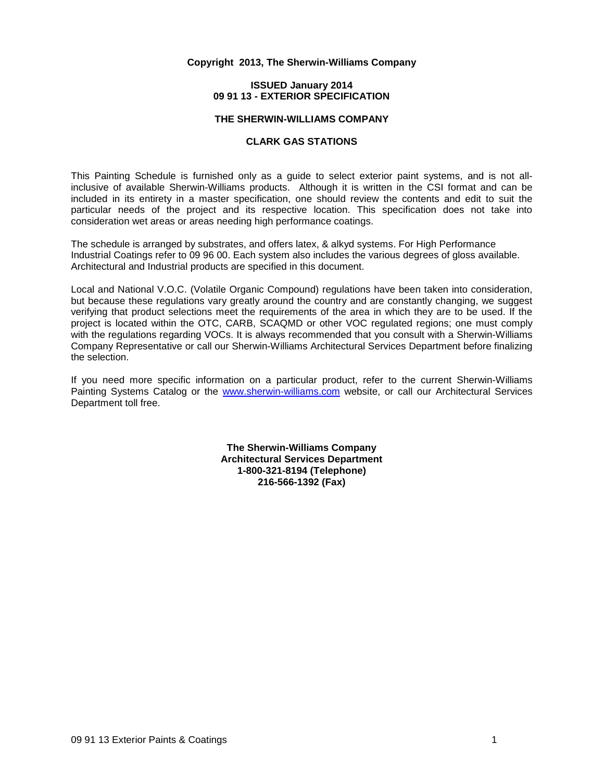#### **Copyright 2013, The Sherwin-Williams Company**

#### **ISSUED January 2014 09 91 13 - EXTERIOR SPECIFICATION**

### **THE SHERWIN-WILLIAMS COMPANY**

#### **CLARK GAS STATIONS**

This Painting Schedule is furnished only as a guide to select exterior paint systems, and is not allinclusive of available Sherwin-Williams products. Although it is written in the CSI format and can be included in its entirety in a master specification, one should review the contents and edit to suit the particular needs of the project and its respective location. This specification does not take into consideration wet areas or areas needing high performance coatings.

The schedule is arranged by substrates, and offers latex, & alkyd systems. For High Performance Industrial Coatings refer to 09 96 00. Each system also includes the various degrees of gloss available. Architectural and Industrial products are specified in this document.

Local and National V.O.C. (Volatile Organic Compound) regulations have been taken into consideration, but because these regulations vary greatly around the country and are constantly changing, we suggest verifying that product selections meet the requirements of the area in which they are to be used. If the project is located within the OTC, CARB, SCAQMD or other VOC regulated regions; one must comply with the regulations regarding VOCs. It is always recommended that you consult with a Sherwin-Williams Company Representative or call our Sherwin-Williams Architectural Services Department before finalizing the selection.

If you need more specific information on a particular product, refer to the current Sherwin-Williams Painting Systems Catalog or the [www.sherwin-williams.com](http://www.sherwin-williams.com/) website, or call our Architectural Services Department toll free.

> **The Sherwin-Williams Company Architectural Services Department 1-800-321-8194 (Telephone) 216-566-1392 (Fax)**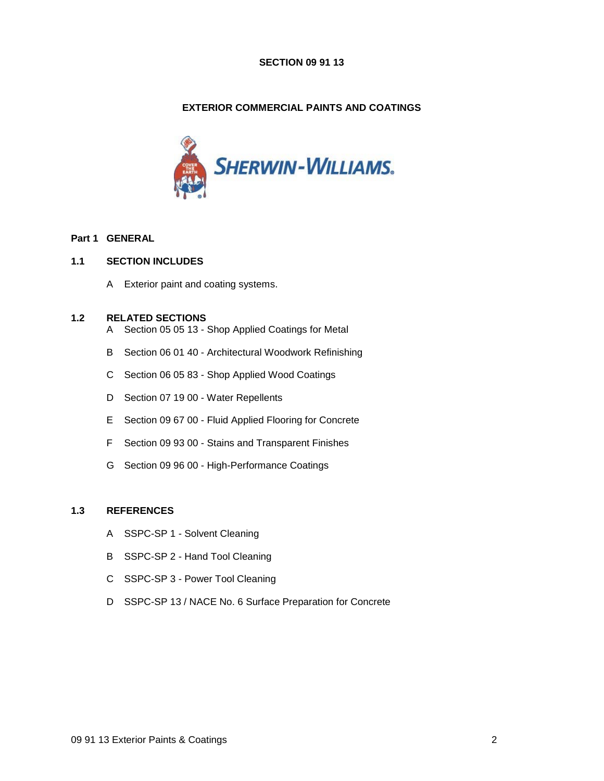### **SECTION 09 91 13**

# **EXTERIOR COMMERCIAL PAINTS AND COATINGS**



## **Part 1 GENERAL**

## **1.1 SECTION INCLUDES**

A Exterior paint and coating systems.

## **1.2 RELATED SECTIONS**

- A Section 05 05 13 Shop Applied Coatings for Metal
- B Section 06 01 40 Architectural Woodwork Refinishing
- C Section 06 05 83 Shop Applied Wood Coatings
- D Section 07 19 00 Water Repellents
- E Section 09 67 00 Fluid Applied Flooring for Concrete
- F Section 09 93 00 Stains and Transparent Finishes
- G Section 09 96 00 High-Performance Coatings

# **1.3 REFERENCES**

- A SSPC-SP 1 Solvent Cleaning
- B SSPC-SP 2 Hand Tool Cleaning
- C SSPC-SP 3 Power Tool Cleaning
- D SSPC-SP 13 / NACE No. 6 Surface Preparation for Concrete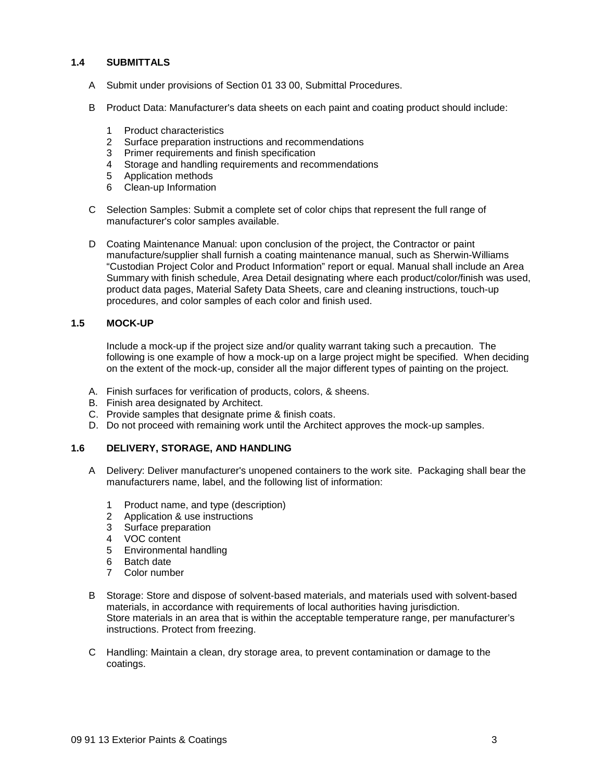## **1.4 SUBMITTALS**

- A Submit under provisions of Section 01 33 00, Submittal Procedures.
- B Product Data: Manufacturer's data sheets on each paint and coating product should include:
	- 1 Product characteristics
	- 2 Surface preparation instructions and recommendations
	- 3 Primer requirements and finish specification
	- 4 Storage and handling requirements and recommendations
	- 5 Application methods
	- 6 Clean-up Information
- C Selection Samples: Submit a complete set of color chips that represent the full range of manufacturer's color samples available.
- D Coating Maintenance Manual: upon conclusion of the project, the Contractor or paint manufacture/supplier shall furnish a coating maintenance manual, such as Sherwin-Williams "Custodian Project Color and Product Information" report or equal. Manual shall include an Area Summary with finish schedule, Area Detail designating where each product/color/finish was used, product data pages, Material Safety Data Sheets, care and cleaning instructions, touch-up procedures, and color samples of each color and finish used.

#### **1.5 MOCK-UP**

Include a mock-up if the project size and/or quality warrant taking such a precaution. The following is one example of how a mock-up on a large project might be specified. When deciding on the extent of the mock-up, consider all the major different types of painting on the project.

- A. Finish surfaces for verification of products, colors, & sheens.
- B. Finish area designated by Architect.
- C. Provide samples that designate prime & finish coats.
- D. Do not proceed with remaining work until the Architect approves the mock-up samples.

### **1.6 DELIVERY, STORAGE, AND HANDLING**

- A Delivery: Deliver manufacturer's unopened containers to the work site. Packaging shall bear the manufacturers name, label, and the following list of information:
	- 1 Product name, and type (description)
	- 2 Application & use instructions
	- 3 Surface preparation
	- 4 VOC content
	- 5 Environmental handling
	- 6 Batch date
	- 7 Color number
- B Storage: Store and dispose of solvent-based materials, and materials used with solvent-based materials, in accordance with requirements of local authorities having jurisdiction. Store materials in an area that is within the acceptable temperature range, per manufacturer's instructions. Protect from freezing.
- C Handling: Maintain a clean, dry storage area, to prevent contamination or damage to the coatings.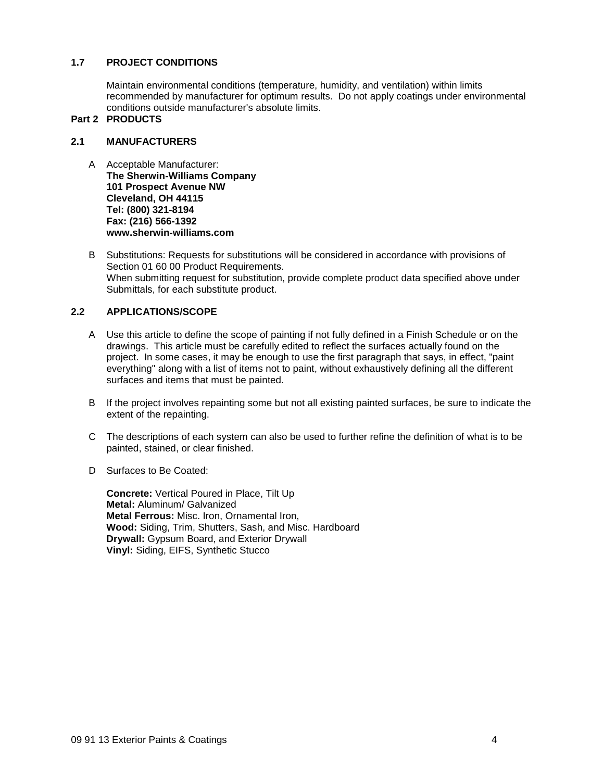## **1.7 PROJECT CONDITIONS**

Maintain environmental conditions (temperature, humidity, and ventilation) within limits recommended by manufacturer for optimum results. Do not apply coatings under environmental conditions outside manufacturer's absolute limits.

## **Part 2 PRODUCTS**

## **2.1 MANUFACTURERS**

- A Acceptable Manufacturer: **The Sherwin-Williams Company 101 Prospect Avenue NW Cleveland, OH 44115 Tel: (800) 321-8194 Fax: (216) 566-1392 www.sherwin-williams.com**
- B Substitutions: Requests for substitutions will be considered in accordance with provisions of Section 01 60 00 Product Requirements. When submitting request for substitution, provide complete product data specified above under Submittals, for each substitute product.

## **2.2 APPLICATIONS/SCOPE**

- A Use this article to define the scope of painting if not fully defined in a Finish Schedule or on the drawings. This article must be carefully edited to reflect the surfaces actually found on the project. In some cases, it may be enough to use the first paragraph that says, in effect, "paint everything" along with a list of items not to paint, without exhaustively defining all the different surfaces and items that must be painted.
- B If the project involves repainting some but not all existing painted surfaces, be sure to indicate the extent of the repainting.
- C The descriptions of each system can also be used to further refine the definition of what is to be painted, stained, or clear finished.
- D Surfaces to Be Coated:

**Concrete:** Vertical Poured in Place, Tilt Up **Metal:** Aluminum/ Galvanized **Metal Ferrous:** Misc. Iron, Ornamental Iron, **Wood:** Siding, Trim, Shutters, Sash, and Misc. Hardboard **Drywall:** Gypsum Board, and Exterior Drywall **Vinyl:** Siding, EIFS, Synthetic Stucco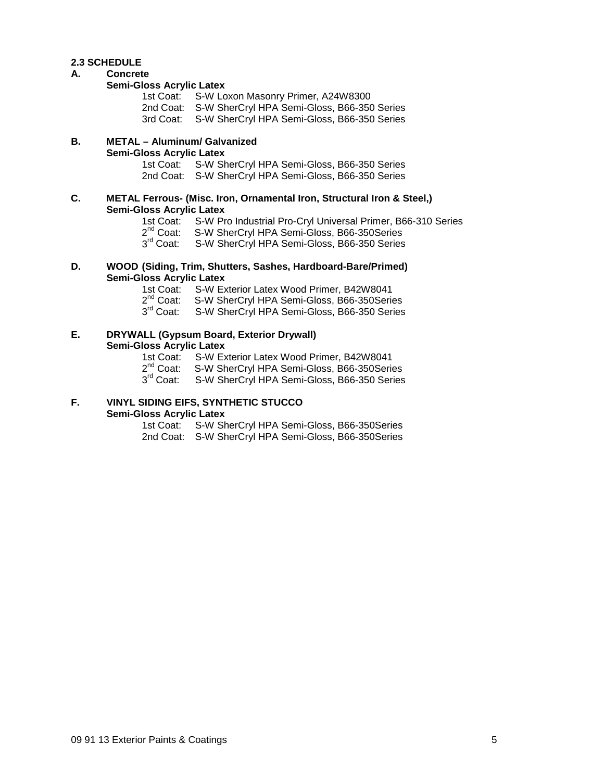## **2.3 SCHEDULE**

#### **A. Concrete**

#### **Semi-Gloss Acrylic Latex**

| 1st Coat: S-W Loxon Masonry Primer, A24W8300          |
|-------------------------------------------------------|
| 2nd Coat: S-W SherCryl HPA Semi-Gloss, B66-350 Series |
| 3rd Coat: S-W SherCryl HPA Semi-Gloss, B66-350 Series |
|                                                       |

# **B. METAL – Aluminum/ Galvanized Semi-Gloss Acrylic Latex**

S-W SherCryl HPA Semi-Gloss, B66-350 Series 2nd Coat: S-W SherCryl HPA Semi-Gloss, B66-350 Series

#### **C. METAL Ferrous- (Misc. Iron, Ornamental Iron, Structural Iron & Steel,) Semi-Gloss Acrylic Latex**

- 1st Coat: S-W Pro Industrial Pro-Cryl Universal Primer, B66-310 Series<br>2<sup>nd</sup> Coat: S-W SherCrvl HPA Semi-Gloss, B66-350Series
- S-W SherCryl HPA Semi-Gloss, B66-350Series

3<sup>rd</sup> Coat: S-W SherCryl HPA Semi-Gloss, B66-350 Series

## **D. WOOD (Siding, Trim, Shutters, Sashes, Hardboard-Bare/Primed) Semi-Gloss Acrylic Latex**

- 1st Coat: S-W Exterior Latex Wood Primer, B42W8041<br>2<sup>nd</sup> Coat: S-W SherCryl HPA Semi-Gloss, B66-350Serio
- $2^{nd}$  Coat: S-W SherCryl HPA Semi-Gloss, B66-350 Series  $3^{rd}$  Coat: S-W SherCryl HPA Semi-Gloss, B66-350 Series
- S-W SherCryl HPA Semi-Gloss, B66-350 Series

# **E. DRYWALL (Gypsum Board, Exterior Drywall) Semi-Gloss Acrylic Latex**

- 1st Coat: S-W Exterior Latex Wood Primer, B42W8041<br>2<sup>nd</sup> Coat: S-W SherCryl HPA Semi-Gloss, B66-350Serio
- $2^{nd}$  Coat: S-W SherCryl HPA Semi-Gloss, B66-350Series<br>3<sup>rd</sup> Coat: S-W SherCryl HPA Semi-Gloss, B66-350 Series
- S-W SherCryl HPA Semi-Gloss, B66-350 Series

### **F. VINYL SIDING EIFS, SYNTHETIC STUCCO Semi-Gloss Acrylic Latex**

1st Coat: S-W SherCryl HPA Semi-Gloss, B66-350Series 2nd Coat: S-W SherCryl HPA Semi-Gloss, B66-350Series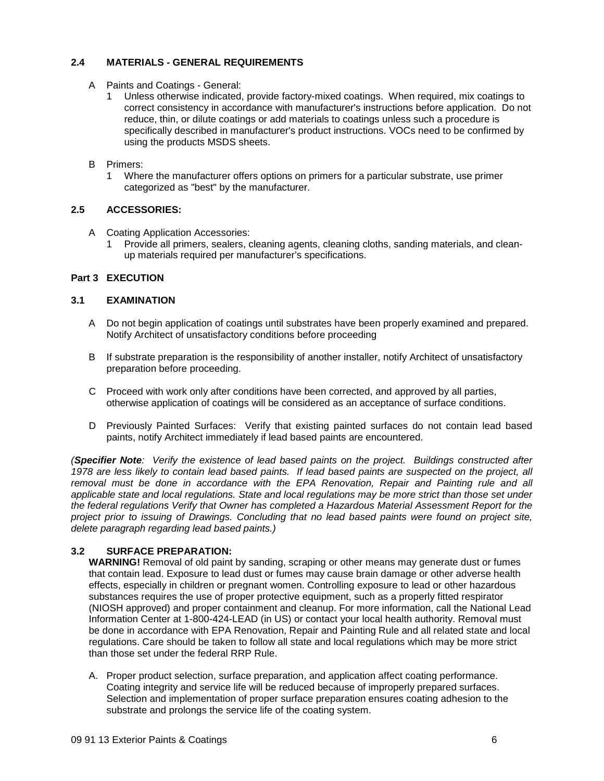# **2.4 MATERIALS - GENERAL REQUIREMENTS**

- A Paints and Coatings General:
	- 1 Unless otherwise indicated, provide factory-mixed coatings. When required, mix coatings to correct consistency in accordance with manufacturer's instructions before application. Do not reduce, thin, or dilute coatings or add materials to coatings unless such a procedure is specifically described in manufacturer's product instructions. VOCs need to be confirmed by using the products MSDS sheets.

## B Primers:

1 Where the manufacturer offers options on primers for a particular substrate, use primer categorized as "best" by the manufacturer.

# **2.5 ACCESSORIES:**

- A Coating Application Accessories:
	- 1 Provide all primers, sealers, cleaning agents, cleaning cloths, sanding materials, and cleanup materials required per manufacturer's specifications.

# **Part 3 EXECUTION**

## **3.1 EXAMINATION**

- A Do not begin application of coatings until substrates have been properly examined and prepared. Notify Architect of unsatisfactory conditions before proceeding
- B If substrate preparation is the responsibility of another installer, notify Architect of unsatisfactory preparation before proceeding.
- C Proceed with work only after conditions have been corrected, and approved by all parties, otherwise application of coatings will be considered as an acceptance of surface conditions.
- D Previously Painted Surfaces: Verify that existing painted surfaces do not contain lead based paints, notify Architect immediately if lead based paints are encountered.

*(Specifier Note: Verify the existence of lead based paints on the project. Buildings constructed after 1978 are less likely to contain lead based paints. If lead based paints are suspected on the project, all*  removal must be done in accordance with the EPA Renovation, Repair and Painting rule and all *applicable state and local regulations. State and local regulations may be more strict than those set under the federal regulations Verify that Owner has completed a Hazardous Material Assessment Report for the project prior to issuing of Drawings. Concluding that no lead based paints were found on project site, delete paragraph regarding lead based paints.)*

# **3.2 SURFACE PREPARATION:**

**WARNING!** Removal of old paint by sanding, scraping or other means may generate dust or fumes that contain lead. Exposure to lead dust or fumes may cause brain damage or other adverse health effects, especially in children or pregnant women. Controlling exposure to lead or other hazardous substances requires the use of proper protective equipment, such as a properly fitted respirator (NIOSH approved) and proper containment and cleanup. For more information, call the National Lead Information Center at 1-800-424-LEAD (in US) or contact your local health authority. Removal must be done in accordance with EPA Renovation, Repair and Painting Rule and all related state and local regulations. Care should be taken to follow all state and local regulations which may be more strict than those set under the federal RRP Rule.

A. Proper product selection, surface preparation, and application affect coating performance. Coating integrity and service life will be reduced because of improperly prepared surfaces. Selection and implementation of proper surface preparation ensures coating adhesion to the substrate and prolongs the service life of the coating system.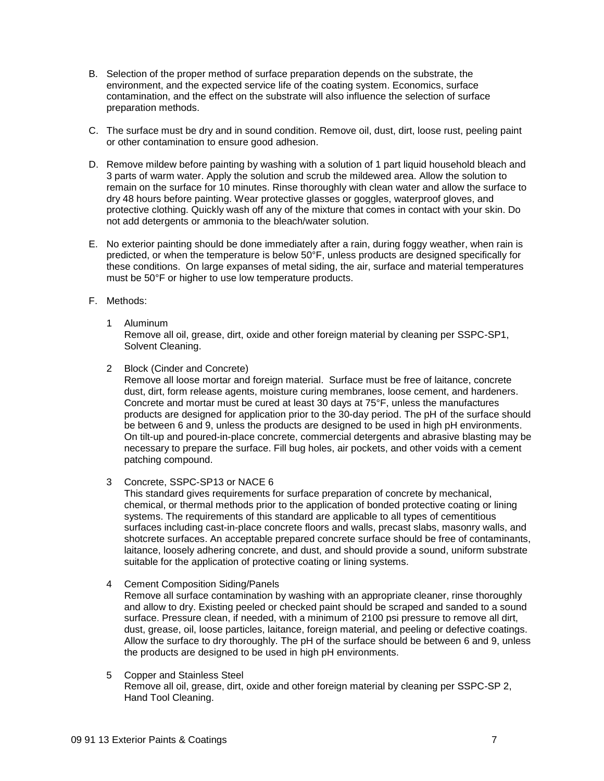- B. Selection of the proper method of surface preparation depends on the substrate, the environment, and the expected service life of the coating system. Economics, surface contamination, and the effect on the substrate will also influence the selection of surface preparation methods.
- C. The surface must be dry and in sound condition. Remove oil, dust, dirt, loose rust, peeling paint or other contamination to ensure good adhesion.
- D. Remove mildew before painting by washing with a solution of 1 part liquid household bleach and 3 parts of warm water. Apply the solution and scrub the mildewed area. Allow the solution to remain on the surface for 10 minutes. Rinse thoroughly with clean water and allow the surface to dry 48 hours before painting. Wear protective glasses or goggles, waterproof gloves, and protective clothing. Quickly wash off any of the mixture that comes in contact with your skin. Do not add detergents or ammonia to the bleach/water solution.
- E. No exterior painting should be done immediately after a rain, during foggy weather, when rain is predicted, or when the temperature is below 50°F, unless products are designed specifically for these conditions. On large expanses of metal siding, the air, surface and material temperatures must be 50°F or higher to use low temperature products.
- F. Methods:
	- 1 Aluminum Remove all oil, grease, dirt, oxide and other foreign material by cleaning per SSPC-SP1, Solvent Cleaning.
	- 2 Block (Cinder and Concrete)

Remove all loose mortar and foreign material. Surface must be free of laitance, concrete dust, dirt, form release agents, moisture curing membranes, loose cement, and hardeners. Concrete and mortar must be cured at least 30 days at 75°F, unless the manufactures products are designed for application prior to the 30-day period. The pH of the surface should be between 6 and 9, unless the products are designed to be used in high pH environments. On tilt-up and poured-in-place concrete, commercial detergents and abrasive blasting may be necessary to prepare the surface. Fill bug holes, air pockets, and other voids with a cement patching compound.

3 Concrete, SSPC-SP13 or NACE 6

This standard gives requirements for surface preparation of concrete by mechanical, chemical, or thermal methods prior to the application of bonded protective coating or lining systems. The requirements of this standard are applicable to all types of cementitious surfaces including cast-in-place concrete floors and walls, precast slabs, masonry walls, and shotcrete surfaces. An acceptable prepared concrete surface should be free of contaminants, laitance, loosely adhering concrete, and dust, and should provide a sound, uniform substrate suitable for the application of protective coating or lining systems.

4 Cement Composition Siding/Panels

Remove all surface contamination by washing with an appropriate cleaner, rinse thoroughly and allow to dry. Existing peeled or checked paint should be scraped and sanded to a sound surface. Pressure clean, if needed, with a minimum of 2100 psi pressure to remove all dirt, dust, grease, oil, loose particles, laitance, foreign material, and peeling or defective coatings. Allow the surface to dry thoroughly. The pH of the surface should be between 6 and 9, unless the products are designed to be used in high pH environments.

5 Copper and Stainless Steel Remove all oil, grease, dirt, oxide and other foreign material by cleaning per SSPC-SP 2, Hand Tool Cleaning.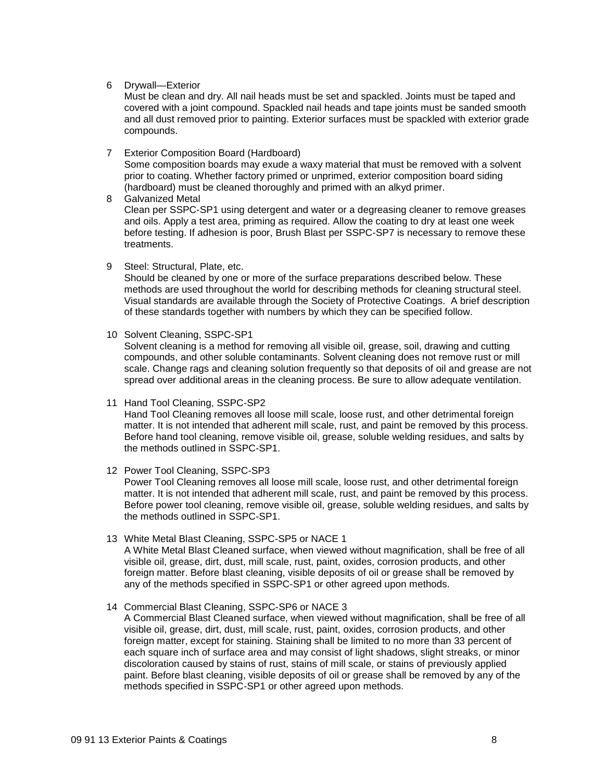6 Drywall—Exterior

Must be clean and dry. All nail heads must be set and spackled. Joints must be taped and covered with a joint compound. Spackled nail heads and tape joints must be sanded smooth and all dust removed prior to painting. Exterior surfaces must be spackled with exterior grade compounds.

7 Exterior Composition Board (Hardboard)

Some composition boards may exude a waxy material that must be removed with a solvent prior to coating. Whether factory primed or unprimed, exterior composition board siding (hardboard) must be cleaned thoroughly and primed with an alkyd primer.

8 Galvanized Metal Clean per SSPC-SP1 using detergent and water or a degreasing cleaner to remove greases and oils. Apply a test area, priming as required. Allow the coating to dry at least one week before testing. If adhesion is poor, Brush Blast per SSPC-SP7 is necessary to remove these treatments.

9 Steel: Structural, Plate, etc.

Should be cleaned by one or more of the surface preparations described below. These methods are used throughout the world for describing methods for cleaning structural steel. Visual standards are available through the Society of Protective Coatings. A brief description of these standards together with numbers by which they can be specified follow.

10 Solvent Cleaning, SSPC-SP1

Solvent cleaning is a method for removing all visible oil, grease, soil, drawing and cutting compounds, and other soluble contaminants. Solvent cleaning does not remove rust or mill scale. Change rags and cleaning solution frequently so that deposits of oil and grease are not spread over additional areas in the cleaning process. Be sure to allow adequate ventilation.

11 Hand Tool Cleaning, SSPC-SP2 Hand Tool Cleaning removes all loose mill scale, loose rust, and other detrimental foreign

matter. It is not intended that adherent mill scale, rust, and paint be removed by this process. Before hand tool cleaning, remove visible oil, grease, soluble welding residues, and salts by the methods outlined in SSPC-SP1.

12 Power Tool Cleaning, SSPC-SP3

Power Tool Cleaning removes all loose mill scale, loose rust, and other detrimental foreign matter. It is not intended that adherent mill scale, rust, and paint be removed by this process. Before power tool cleaning, remove visible oil, grease, soluble welding residues, and salts by the methods outlined in SSPC-SP1.

- 13 White Metal Blast Cleaning, SSPC-SP5 or NACE 1 A White Metal Blast Cleaned surface, when viewed without magnification, shall be free of all visible oil, grease, dirt, dust, mill scale, rust, paint, oxides, corrosion products, and other foreign matter. Before blast cleaning, visible deposits of oil or grease shall be removed by any of the methods specified in SSPC-SP1 or other agreed upon methods.
- 14 Commercial Blast Cleaning, SSPC-SP6 or NACE 3

A Commercial Blast Cleaned surface, when viewed without magnification, shall be free of all visible oil, grease, dirt, dust, mill scale, rust, paint, oxides, corrosion products, and other foreign matter, except for staining. Staining shall be limited to no more than 33 percent of each square inch of surface area and may consist of light shadows, slight streaks, or minor discoloration caused by stains of rust, stains of mill scale, or stains of previously applied paint. Before blast cleaning, visible deposits of oil or grease shall be removed by any of the methods specified in SSPC-SP1 or other agreed upon methods.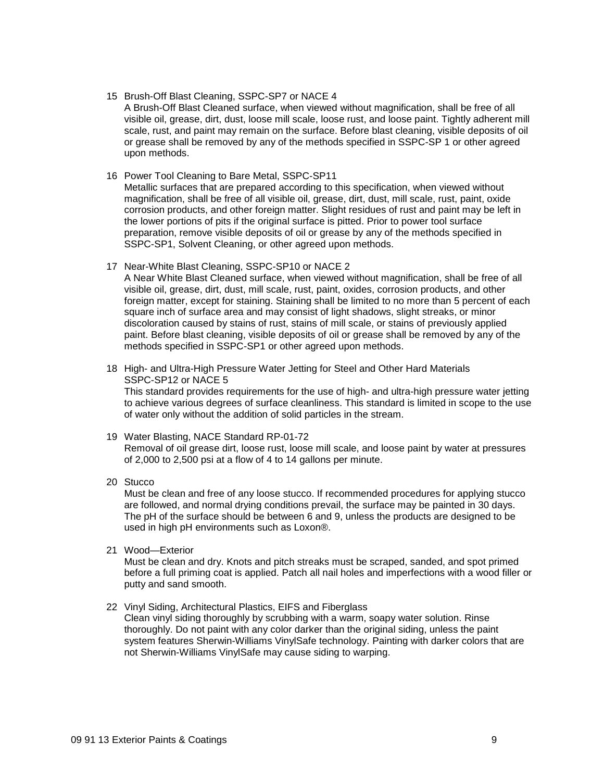#### 15 Brush-Off Blast Cleaning, SSPC-SP7 or NACE 4

A Brush-Off Blast Cleaned surface, when viewed without magnification, shall be free of all visible oil, grease, dirt, dust, loose mill scale, loose rust, and loose paint. Tightly adherent mill scale, rust, and paint may remain on the surface. Before blast cleaning, visible deposits of oil or grease shall be removed by any of the methods specified in SSPC-SP 1 or other agreed upon methods.

#### 16 Power Tool Cleaning to Bare Metal, SSPC-SP11

Metallic surfaces that are prepared according to this specification, when viewed without magnification, shall be free of all visible oil, grease, dirt, dust, mill scale, rust, paint, oxide corrosion products, and other foreign matter. Slight residues of rust and paint may be left in the lower portions of pits if the original surface is pitted. Prior to power tool surface preparation, remove visible deposits of oil or grease by any of the methods specified in SSPC-SP1, Solvent Cleaning, or other agreed upon methods.

### 17 Near-White Blast Cleaning, SSPC-SP10 or NACE 2

A Near White Blast Cleaned surface, when viewed without magnification, shall be free of all visible oil, grease, dirt, dust, mill scale, rust, paint, oxides, corrosion products, and other foreign matter, except for staining. Staining shall be limited to no more than 5 percent of each square inch of surface area and may consist of light shadows, slight streaks, or minor discoloration caused by stains of rust, stains of mill scale, or stains of previously applied paint. Before blast cleaning, visible deposits of oil or grease shall be removed by any of the methods specified in SSPC-SP1 or other agreed upon methods.

18 High- and Ultra-High Pressure Water Jetting for Steel and Other Hard Materials SSPC-SP12 or NACE 5

This standard provides requirements for the use of high- and ultra-high pressure water jetting to achieve various degrees of surface cleanliness. This standard is limited in scope to the use of water only without the addition of solid particles in the stream.

19 Water Blasting, NACE Standard RP-01-72 Removal of oil grease dirt, loose rust, loose mill scale, and loose paint by water at pressures of 2,000 to 2,500 psi at a flow of 4 to 14 gallons per minute.

#### 20 Stucco

Must be clean and free of any loose stucco. If recommended procedures for applying stucco are followed, and normal drying conditions prevail, the surface may be painted in 30 days. The pH of the surface should be between 6 and 9, unless the products are designed to be used in high pH environments such as Loxon®.

21 Wood—Exterior

Must be clean and dry. Knots and pitch streaks must be scraped, sanded, and spot primed before a full priming coat is applied. Patch all nail holes and imperfections with a wood filler or putty and sand smooth.

#### 22 Vinyl Siding, Architectural Plastics, EIFS and Fiberglass

Clean vinyl siding thoroughly by scrubbing with a warm, soapy water solution. Rinse thoroughly. Do not paint with any color darker than the original siding, unless the paint system features Sherwin-Williams VinylSafe technology. Painting with darker colors that are not Sherwin-Williams VinylSafe may cause siding to warping.